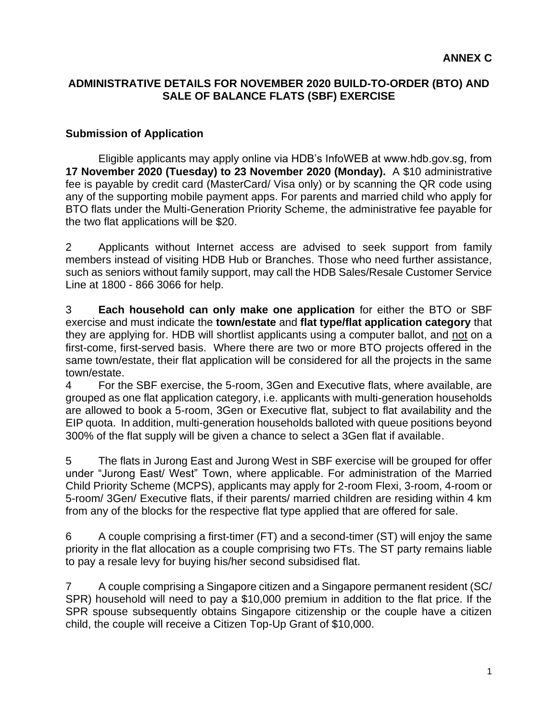## **ADMINISTRATIVE DETAILS FOR NOVEMBER 2020 BUILD-TO-ORDER (BTO) AND SALE OF BALANCE FLATS (SBF) EXERCISE**

#### **Submission of Application**

Eligible applicants may apply online via HDB's InfoWEB at www.hdb.gov.sg, from **17 November 2020 (Tuesday) to 23 November 2020 (Monday).** A \$10 administrative fee is payable by credit card (MasterCard/ Visa only) or by scanning the QR code using any of the supporting mobile payment apps. For parents and married child who apply for BTO flats under the Multi-Generation Priority Scheme, the administrative fee payable for the two flat applications will be \$20.

2 Applicants without Internet access are advised to seek support from family members instead of visiting HDB Hub or Branches. Those who need further assistance, such as seniors without family support, may call the HDB Sales/Resale Customer Service Line at 1800 - 866 3066 for help.

3 **Each household can only make one application** for either the BTO or SBF exercise and must indicate the **town/estate** and **flat type/flat application category** that they are applying for. HDB will shortlist applicants using a computer ballot, and not on a first-come, first-served basis. Where there are two or more BTO projects offered in the same town/estate, their flat application will be considered for all the projects in the same town/estate.

4 For the SBF exercise, the 5-room, 3Gen and Executive flats, where available, are grouped as one flat application category, i.e. applicants with multi-generation households are allowed to book a 5-room, 3Gen or Executive flat, subject to flat availability and the EIP quota. In addition, multi-generation households balloted with queue positions beyond 300% of the flat supply will be given a chance to select a 3Gen flat if available.

5 The flats in Jurong East and Jurong West in SBF exercise will be grouped for offer under "Jurong East/ West" Town, where applicable. For administration of the Married Child Priority Scheme (MCPS), applicants may apply for 2-room Flexi, 3-room, 4-room or 5-room/ 3Gen/ Executive flats, if their parents/ married children are residing within 4 km from any of the blocks for the respective flat type applied that are offered for sale.

6 A couple comprising a first-timer (FT) and a second-timer (ST) will enjoy the same priority in the flat allocation as a couple comprising two FTs. The ST party remains liable to pay a resale levy for buying his/her second subsidised flat.

7 A couple comprising a Singapore citizen and a Singapore permanent resident (SC/ SPR) household will need to pay a \$10,000 premium in addition to the flat price. If the SPR spouse subsequently obtains Singapore citizenship or the couple have a citizen child, the couple will receive a Citizen Top-Up Grant of \$10,000.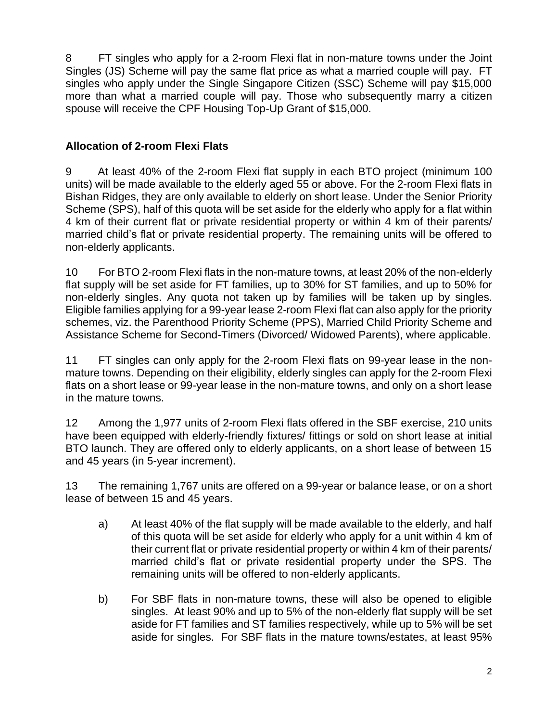8 FT singles who apply for a 2-room Flexi flat in non-mature towns under the Joint Singles (JS) Scheme will pay the same flat price as what a married couple will pay. FT singles who apply under the Single Singapore Citizen (SSC) Scheme will pay \$15,000 more than what a married couple will pay. Those who subsequently marry a citizen spouse will receive the CPF Housing Top-Up Grant of \$15,000.

# **Allocation of 2-room Flexi Flats**

9 At least 40% of the 2-room Flexi flat supply in each BTO project (minimum 100 units) will be made available to the elderly aged 55 or above. For the 2-room Flexi flats in Bishan Ridges, they are only available to elderly on short lease. Under the Senior Priority Scheme (SPS), half of this quota will be set aside for the elderly who apply for a flat within 4 km of their current flat or private residential property or within 4 km of their parents/ married child's flat or private residential property. The remaining units will be offered to non-elderly applicants.

10 For BTO 2-room Flexi flats in the non-mature towns, at least 20% of the non-elderly flat supply will be set aside for FT families, up to 30% for ST families, and up to 50% for non-elderly singles. Any quota not taken up by families will be taken up by singles. Eligible families applying for a 99-year lease 2-room Flexi flat can also apply for the priority schemes, viz. the Parenthood Priority Scheme (PPS), Married Child Priority Scheme and Assistance Scheme for Second-Timers (Divorced/ Widowed Parents), where applicable.

11 FT singles can only apply for the 2-room Flexi flats on 99-year lease in the nonmature towns. Depending on their eligibility, elderly singles can apply for the 2-room Flexi flats on a short lease or 99-year lease in the non-mature towns, and only on a short lease in the mature towns.

12 Among the 1,977 units of 2-room Flexi flats offered in the SBF exercise, 210 units have been equipped with elderly-friendly fixtures/ fittings or sold on short lease at initial BTO launch. They are offered only to elderly applicants, on a short lease of between 15 and 45 years (in 5-year increment).

13 The remaining 1,767 units are offered on a 99-year or balance lease, or on a short lease of between 15 and 45 years.

- a) At least 40% of the flat supply will be made available to the elderly, and half of this quota will be set aside for elderly who apply for a unit within 4 km of their current flat or private residential property or within 4 km of their parents/ married child's flat or private residential property under the SPS. The remaining units will be offered to non-elderly applicants.
- b) For SBF flats in non-mature towns, these will also be opened to eligible singles. At least 90% and up to 5% of the non-elderly flat supply will be set aside for FT families and ST families respectively, while up to 5% will be set aside for singles. For SBF flats in the mature towns/estates, at least 95%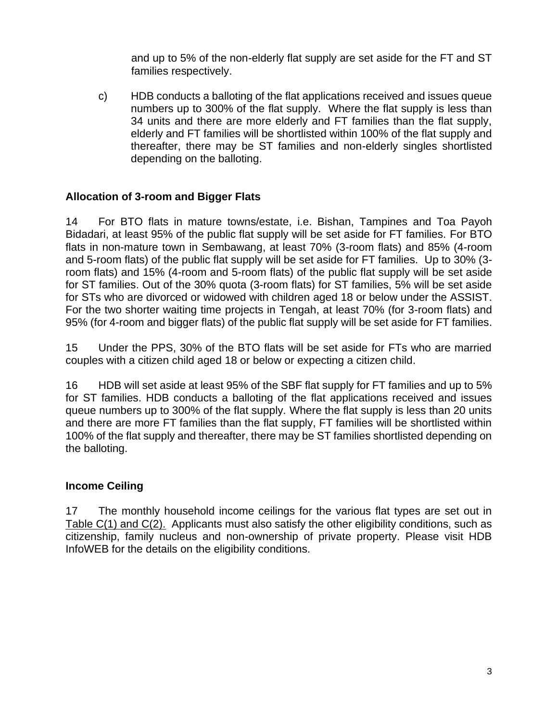and up to 5% of the non-elderly flat supply are set aside for the FT and ST families respectively.

c) HDB conducts a balloting of the flat applications received and issues queue numbers up to 300% of the flat supply. Where the flat supply is less than 34 units and there are more elderly and FT families than the flat supply, elderly and FT families will be shortlisted within 100% of the flat supply and thereafter, there may be ST families and non-elderly singles shortlisted depending on the balloting.

## **Allocation of 3-room and Bigger Flats**

14 For BTO flats in mature towns/estate, i.e. Bishan, Tampines and Toa Payoh Bidadari, at least 95% of the public flat supply will be set aside for FT families. For BTO flats in non-mature town in Sembawang, at least 70% (3-room flats) and 85% (4-room and 5-room flats) of the public flat supply will be set aside for FT families. Up to 30% (3 room flats) and 15% (4-room and 5-room flats) of the public flat supply will be set aside for ST families. Out of the 30% quota (3-room flats) for ST families, 5% will be set aside for STs who are divorced or widowed with children aged 18 or below under the ASSIST. For the two shorter waiting time projects in Tengah, at least 70% (for 3-room flats) and 95% (for 4-room and bigger flats) of the public flat supply will be set aside for FT families.

15 Under the PPS, 30% of the BTO flats will be set aside for FTs who are married couples with a citizen child aged 18 or below or expecting a citizen child.

16 HDB will set aside at least 95% of the SBF flat supply for FT families and up to 5% for ST families. HDB conducts a balloting of the flat applications received and issues queue numbers up to 300% of the flat supply. Where the flat supply is less than 20 units and there are more FT families than the flat supply, FT families will be shortlisted within 100% of the flat supply and thereafter, there may be ST families shortlisted depending on the balloting.

## **Income Ceiling**

17 The monthly household income ceilings for the various flat types are set out in Table C(1) and C(2). Applicants must also satisfy the other eligibility conditions, such as citizenship, family nucleus and non-ownership of private property. Please visit HDB InfoWEB for the details on the eligibility conditions.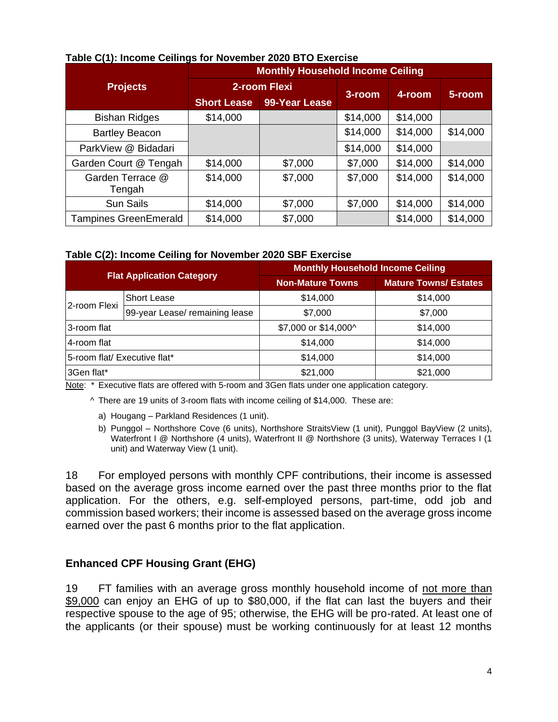|                              | $1800$ V(1). MOVING OGNINGS TOT NOVGHINGT 2020 DTO EXCIDIOG<br><b>Monthly Household Income Ceiling</b> |               |          |          |          |  |
|------------------------------|--------------------------------------------------------------------------------------------------------|---------------|----------|----------|----------|--|
| <b>Projects</b>              | 2-room Flexi                                                                                           |               | 3-room   | 4-room   | 5-room   |  |
|                              | <b>Short Lease</b>                                                                                     | 99-Year Lease |          |          |          |  |
| <b>Bishan Ridges</b>         | \$14,000                                                                                               |               | \$14,000 | \$14,000 |          |  |
| <b>Bartley Beacon</b>        |                                                                                                        |               | \$14,000 | \$14,000 | \$14,000 |  |
| ParkView @ Bidadari          |                                                                                                        |               | \$14,000 | \$14,000 |          |  |
| Garden Court @ Tengah        | \$14,000                                                                                               | \$7,000       | \$7,000  | \$14,000 | \$14,000 |  |
| Garden Terrace @<br>Tengah   | \$14,000                                                                                               | \$7,000       | \$7,000  | \$14,000 | \$14,000 |  |
| <b>Sun Sails</b>             | \$14,000                                                                                               | \$7,000       | \$7,000  | \$14,000 | \$14,000 |  |
| <b>Tampines GreenEmerald</b> | \$14,000                                                                                               | \$7,000       |          | \$14,000 | \$14,000 |  |

#### **Table C(1): Income Ceilings for November 2020 BTO Exercise**

#### **Table C(2): Income Ceiling for November 2020 SBF Exercise**

| <b>Flat Application Category</b> |                                | <b>Monthly Household Income Ceiling</b> |                              |  |  |
|----------------------------------|--------------------------------|-----------------------------------------|------------------------------|--|--|
|                                  |                                | <b>Non-Mature Towns</b>                 | <b>Mature Towns/ Estates</b> |  |  |
|                                  | <b>Short Lease</b>             | \$14,000                                | \$14,000                     |  |  |
| 2-room Flexi                     | 99-year Lease/ remaining lease | \$7,000                                 | \$7,000                      |  |  |
| 3-room flat                      |                                | \$7,000 or \$14,000^                    | \$14,000                     |  |  |
| 4-room flat                      |                                | \$14,000                                | \$14,000                     |  |  |
| 5-room flat/ Executive flat*     |                                | \$14,000                                | \$14,000                     |  |  |
| 3Gen flat*                       |                                | \$21,000                                | \$21,000                     |  |  |

Note: \* Executive flats are offered with 5-room and 3Gen flats under one application category.

^ There are 19 units of 3-room flats with income ceiling of \$14,000. These are:

- a) Hougang Parkland Residences (1 unit).
- b) Punggol Northshore Cove (6 units), Northshore StraitsView (1 unit), Punggol BayView (2 units), Waterfront I @ Northshore (4 units), Waterfront II @ Northshore (3 units), Waterway Terraces I (1 unit) and Waterway View (1 unit).

18 For employed persons with monthly CPF contributions, their income is assessed based on the average gross income earned over the past three months prior to the flat application. For the others, e.g. self-employed persons, part-time, odd job and commission based workers; their income is assessed based on the average gross income earned over the past 6 months prior to the flat application.

#### **Enhanced CPF Housing Grant (EHG)**

19 FT families with an average gross monthly household income of not more than \$9,000 can enjoy an EHG of up to \$80,000, if the flat can last the buyers and their respective spouse to the age of 95; otherwise, the EHG will be pro-rated. At least one of the applicants (or their spouse) must be working continuously for at least 12 months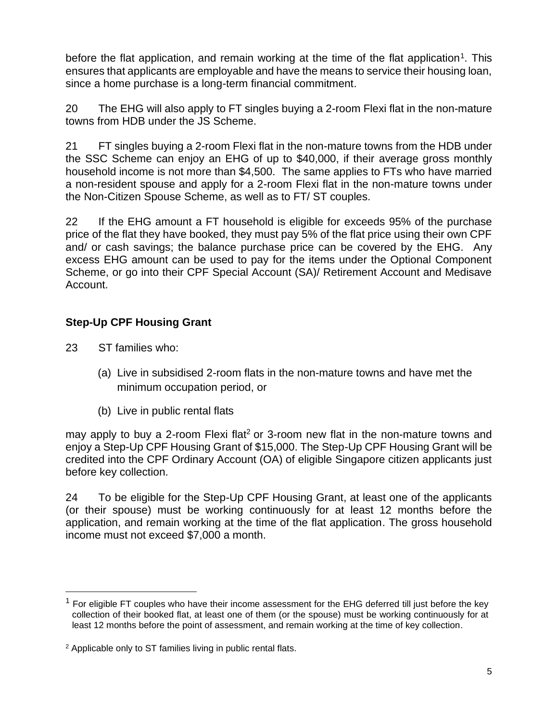before the flat application, and remain working at the time of the flat application<sup>1</sup>. This ensures that applicants are employable and have the means to service their housing loan, since a home purchase is a long-term financial commitment.

20 The EHG will also apply to FT singles buying a 2-room Flexi flat in the non-mature towns from HDB under the JS Scheme.

21 FT singles buying a 2-room Flexi flat in the non-mature towns from the HDB under the SSC Scheme can enjoy an EHG of up to \$40,000, if their average gross monthly household income is not more than \$4,500. The same applies to FTs who have married a non-resident spouse and apply for a 2-room Flexi flat in the non-mature towns under the Non-Citizen Spouse Scheme, as well as to FT/ ST couples.

22 If the EHG amount a FT household is eligible for exceeds 95% of the purchase price of the flat they have booked, they must pay 5% of the flat price using their own CPF and/ or cash savings; the balance purchase price can be covered by the EHG. Any excess EHG amount can be used to pay for the items under the Optional Component Scheme, or go into their CPF Special Account (SA)/ Retirement Account and Medisave Account.

# **Step-Up CPF Housing Grant**

23 ST families who:

- (a) Live in subsidised 2-room flats in the non-mature towns and have met the minimum occupation period, or
- (b) Live in public rental flats

may apply to buy a 2-room Flexi flat<sup>2</sup> or 3-room new flat in the non-mature towns and enjoy a Step-Up CPF Housing Grant of \$15,000. The Step-Up CPF Housing Grant will be credited into the CPF Ordinary Account (OA) of eligible Singapore citizen applicants just before key collection.

24 To be eligible for the Step-Up CPF Housing Grant, at least one of the applicants (or their spouse) must be working continuously for at least 12 months before the application, and remain working at the time of the flat application. The gross household income must not exceed \$7,000 a month.

 $1$  For eligible FT couples who have their income assessment for the EHG deferred till just before the key collection of their booked flat, at least one of them (or the spouse) must be working continuously for at least 12 months before the point of assessment, and remain working at the time of key collection.

<sup>2</sup> Applicable only to ST families living in public rental flats.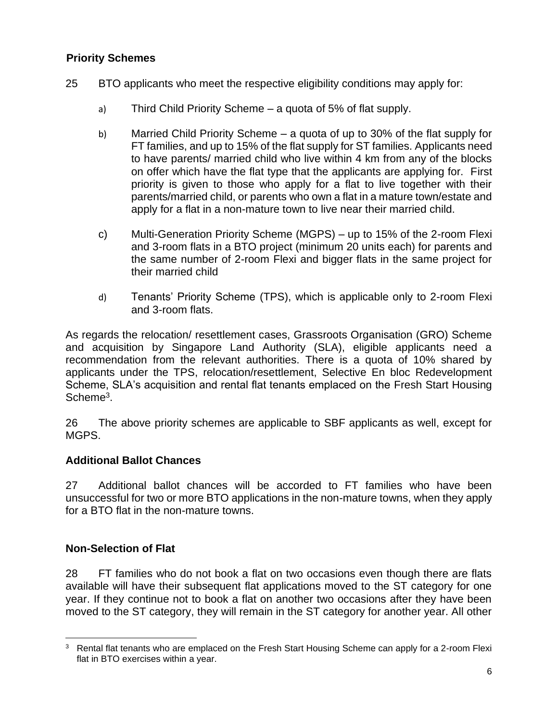## **Priority Schemes**

- 25 BTO applicants who meet the respective eligibility conditions may apply for:
	- a) Third Child Priority Scheme a quota of 5% of flat supply.
	- b) Married Child Priority Scheme a quota of up to 30% of the flat supply for FT families, and up to 15% of the flat supply for ST families. Applicants need to have parents/ married child who live within 4 km from any of the blocks on offer which have the flat type that the applicants are applying for. First priority is given to those who apply for a flat to live together with their parents/married child, or parents who own a flat in a mature town/estate and apply for a flat in a non-mature town to live near their married child.
	- c) Multi-Generation Priority Scheme (MGPS) up to 15% of the 2-room Flexi and 3-room flats in a BTO project (minimum 20 units each) for parents and the same number of 2-room Flexi and bigger flats in the same project for their married child
	- d) Tenants' Priority Scheme (TPS), which is applicable only to 2-room Flexi and 3-room flats.

As regards the relocation/ resettlement cases, Grassroots Organisation (GRO) Scheme and acquisition by Singapore Land Authority (SLA), eligible applicants need a recommendation from the relevant authorities. There is a quota of 10% shared by applicants under the TPS, relocation/resettlement, Selective En bloc Redevelopment Scheme, SLA's acquisition and rental flat tenants emplaced on the Fresh Start Housing Scheme<sup>3</sup>.

26 The above priority schemes are applicable to SBF applicants as well, except for MGPS.

## **Additional Ballot Chances**

27 Additional ballot chances will be accorded to FT families who have been unsuccessful for two or more BTO applications in the non-mature towns, when they apply for a BTO flat in the non-mature towns.

## **Non-Selection of Flat**

28 FT families who do not book a flat on two occasions even though there are flats available will have their subsequent flat applications moved to the ST category for one year. If they continue not to book a flat on another two occasions after they have been moved to the ST category, they will remain in the ST category for another year. All other

<sup>&</sup>lt;sup>3</sup> Rental flat tenants who are emplaced on the Fresh Start Housing Scheme can apply for a 2-room Flexi flat in BTO exercises within a year.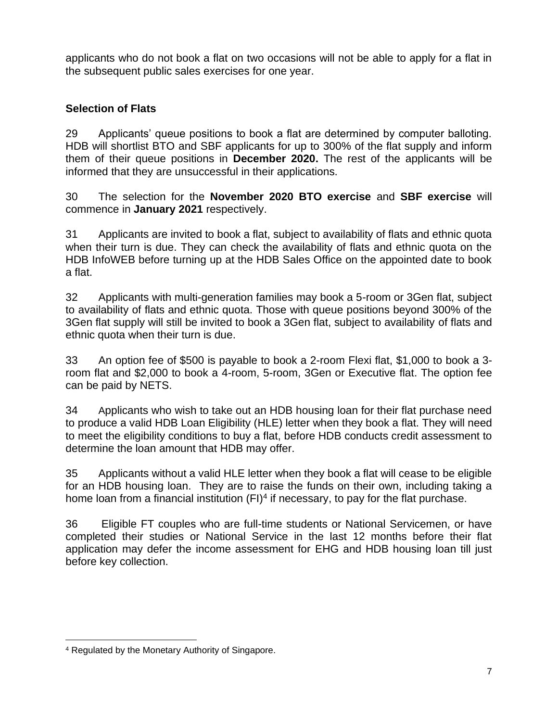applicants who do not book a flat on two occasions will not be able to apply for a flat in the subsequent public sales exercises for one year.

# **Selection of Flats**

29 Applicants' queue positions to book a flat are determined by computer balloting. HDB will shortlist BTO and SBF applicants for up to 300% of the flat supply and inform them of their queue positions in **December 2020.** The rest of the applicants will be informed that they are unsuccessful in their applications.

30 The selection for the **November 2020 BTO exercise** and **SBF exercise** will commence in **January 2021** respectively.

31 Applicants are invited to book a flat, subject to availability of flats and ethnic quota when their turn is due. They can check the availability of flats and ethnic quota on the HDB InfoWEB before turning up at the HDB Sales Office on the appointed date to book a flat.

32 Applicants with multi-generation families may book a 5-room or 3Gen flat, subject to availability of flats and ethnic quota. Those with queue positions beyond 300% of the 3Gen flat supply will still be invited to book a 3Gen flat, subject to availability of flats and ethnic quota when their turn is due.

33 An option fee of \$500 is payable to book a 2-room Flexi flat, \$1,000 to book a 3 room flat and \$2,000 to book a 4-room, 5-room, 3Gen or Executive flat. The option fee can be paid by NETS.

34 Applicants who wish to take out an HDB housing loan for their flat purchase need to produce a valid HDB Loan Eligibility [\(HLE\) letter](http://www.hdb.gov.sg/fi10/fi10321p.nsf/w/HLHDBWhen?OpenDocument) when they book a flat. They will need to meet the eligibility conditions to buy a flat, before HDB conducts credit assessment to determine the loan amount that HDB may offer.

35 Applicants without a valid HLE letter when they book a flat will cease to be eligible for an HDB housing loan. They are to raise the funds on their own, including taking a home loan from a financial institution  $(FI)^4$  if necessary, to pay for the flat purchase.

36 Eligible FT couples who are full-time students or National Servicemen, or have completed their studies or National Service in the last 12 months before their flat application may defer the income assessment for EHG and HDB housing loan till just before key collection.

<sup>4</sup> Regulated by the Monetary Authority of Singapore.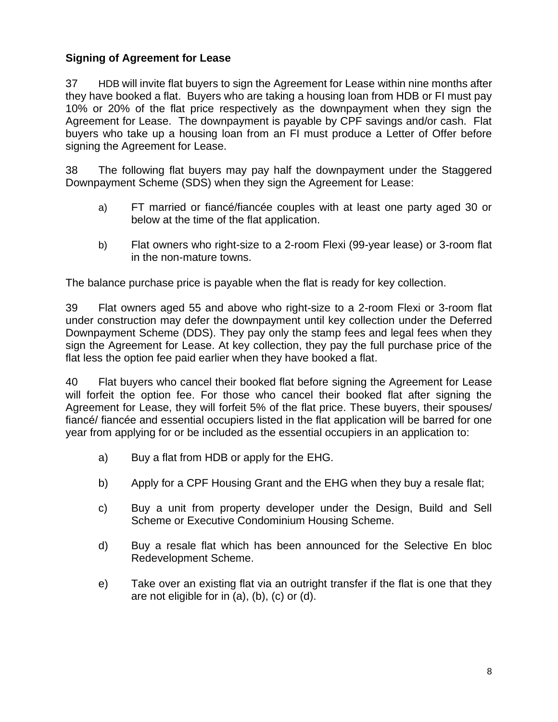# **Signing of Agreement for Lease**

37 HDB will invite flat buyers to sign the Agreement for Lease within nine months after they have booked a flat. Buyers who are taking a housing loan from HDB or FI must pay 10% or 20% of the flat price respectively as the downpayment when they sign the Agreement for Lease. The downpayment is payable by CPF savings and/or cash. Flat buyers who take up a housing loan from an FI must produce a Letter of Offer before signing the Agreement for Lease.

38 The following flat buyers may pay half the downpayment under the Staggered Downpayment Scheme (SDS) when they sign the Agreement for Lease:

- a) FT married or fiancé/fiancée couples with at least one party aged 30 or below at the time of the flat application.
- b) Flat owners who right-size to a 2-room Flexi (99-year lease) or 3-room flat in the non-mature towns.

The balance purchase price is payable when the flat is ready for key collection.

39 Flat owners aged 55 and above who right-size to a 2-room Flexi or 3-room flat under construction may defer the downpayment until key collection under the Deferred Downpayment Scheme (DDS). They pay only the stamp fees and legal fees when they sign the Agreement for Lease. At key collection, they pay the full purchase price of the flat less the option fee paid earlier when they have booked a flat.

40 Flat buyers who cancel their booked flat before signing the Agreement for Lease will forfeit the option fee. For those who cancel their booked flat after signing the Agreement for Lease, they will forfeit 5% of the flat price. These buyers, their spouses/ fiancé/ fiancée and essential occupiers listed in the flat application will be barred for one year from applying for or be included as the essential occupiers in an application to:

- a) Buy a flat from HDB or apply for the EHG.
- b) Apply for a CPF Housing Grant and the EHG when they buy a resale flat;
- c) Buy a unit from property developer under the Design, Build and Sell Scheme or Executive Condominium Housing Scheme.
- d) Buy a resale flat which has been announced for the Selective En bloc Redevelopment Scheme.
- e) Take over an existing flat via an outright transfer if the flat is one that they are not eligible for in (a), (b), (c) or (d).